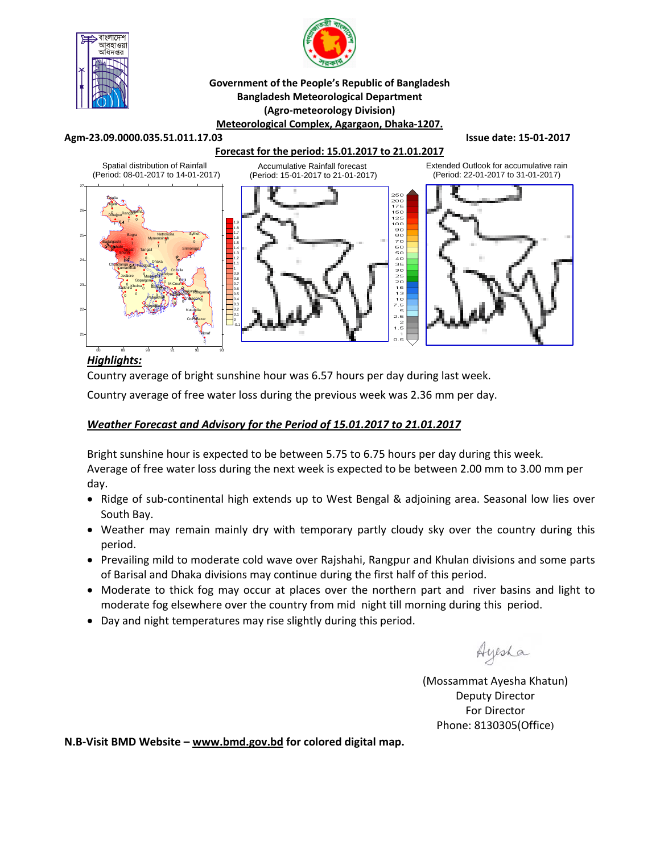



### **Government of the People's Republic of Bangladesh Bangladesh Meteorological Department (Agro‐meteorology Division) Meteorological Complex, Agargaon, Dhaka‐1207.**

#### **Agm‐23.09.0000.035.51.011.17.03 Issue date: 15‐01‐2017**

### **Forecast for the period: 15.01.2017 to 21.01.2017**



# *Highlights:*

Country average of bright sunshine hour was 6.57 hours per day during last week.

Country average of free water loss during the previous week was 2.36 mm per day.

## *Weather Forecast and Advisory for the Period of 15.01.2017 to 21.01.2017*

Bright sunshine hour is expected to be between 5.75 to 6.75 hours per day during this week. Average of free water loss during the next week is expected to be between 2.00 mm to 3.00 mm per day.

- Ridge of sub-continental high extends up to West Bengal & adjoining area. Seasonal low lies over South Bay.
- Weather may remain mainly dry with temporary partly cloudy sky over the country during this period.
- Prevailing mild to moderate cold wave over Rajshahi, Rangpur and Khulan divisions and some parts of Barisal and Dhaka divisions may continue during the first half of this period.
- Moderate to thick fog may occur at places over the northern part and river basins and light to moderate fog elsewhere over the country from mid night till morning during this period.
- Day and night temperatures may rise slightly during this period.

Ayesha

(Mossammat Ayesha Khatun) Deputy Director For Director Phone: 8130305(Office)

**N.B‐Visit BMD Website – www.bmd.gov.bd for colored digital map.**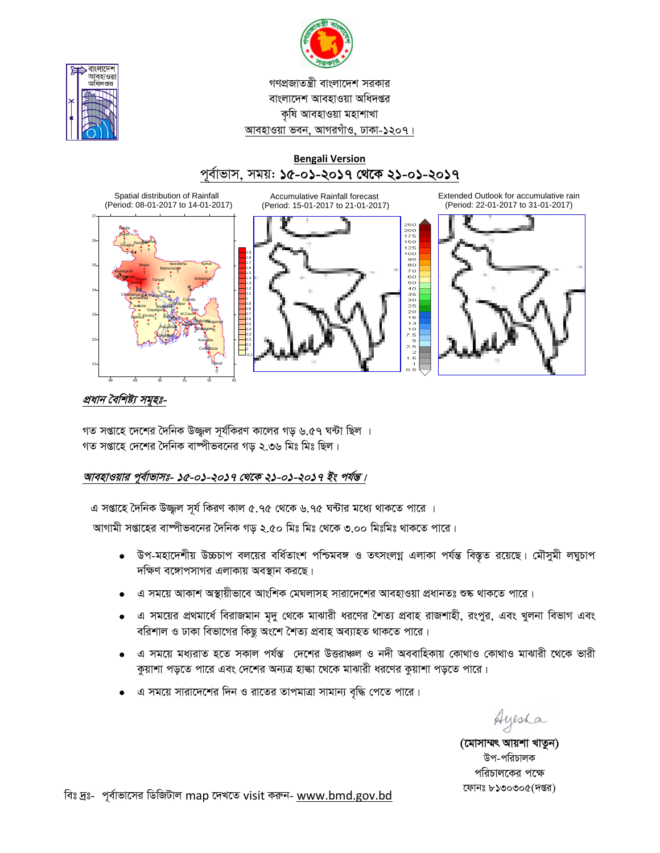



# **Bengali Version** পূর্বাভাস, সময়: ১৫-০১-২০১৭ থেকে ২১-০১-২০১৭



Extended Outlook for accumulative rain (Period: 22-01-2017 to 31-01-2017)



# প্রধান বৈশিষ্ট্য সমূহঃ-

গত সপ্তাহে দেশের দৈনিক উজ্জ্বল সূর্যকিরণ কালের গড় ৬.৫৭ ঘন্টা ছিল । গত সপ্তাহে দেশের দৈনিক বাষ্পীভবনের গড ২.৩৬ মিঃ মিঃ ছিল।

# আবহাওয়ার পূর্বাভাসঃ- ১৫-০১-২০১৭ থেকে ২১-০১-২০১৭ ইং পর্যন্ত।

এ সপ্তাহে দৈনিক উজ্জল সূর্য কিরণ কাল ৫.৭৫ থেকে ৬.৭৫ ঘন্টার মধ্যে থাকতে পারে ।

আগামী সপ্তাহের বাম্পীভবনের দৈনিক গড় ২.৫০ মিঃ মিঃ থেকে ৩.০০ মিঃমিঃ থাকতে পারে।

- উপ-মহাদেশীয় উচ্চচাপ বলয়ের বর্ধিতাংশ পশ্চিমবঙ্গ ও তৎসংলগ্ন এলাকা পর্যন্ত বিস্তৃত রয়েছে। মৌসুমী লঘুচাপ  $\bullet$ দক্ষিণ বঙ্গোপসাগর এলাকায় অবস্থান করছে।
- এ সময়ে আকাশ অস্থায়ীভাবে আংশিক মেঘলাসহ সারাদেশের আবহাওয়া প্রধানতঃ শুষ্ক থাকতে পারে।
- এ সময়ের প্রথমার্ধে বিরাজমান মৃদু থেকে মাঝারী ধরণের শৈত্য প্রবাহ রাজশাহী, রংপুর, এবং খুলনা বিভাগ এবং বরিশাল ও ঢাকা বিভাগের কিছু অংশে শৈত্য প্রবাহ অব্যাহত থাকতে পারে।
- এ সময়ে মধ্যরাত হতে সকাল পর্যন্ত দেশের উত্তরাঞ্চল ও নদী অববাহিকায় কোথাও কোথাও মাঝারী থেকে ভারী কুয়াশা পড়তে পারে এবং দেশের অন্যত্র হাল্কা থেকে মাঝারী ধরণের কুয়াশা পড়তে পারে।
- এ সময়ে সারাদেশের দিন ও রাতের তাপমাত্রা সামান্য বৃদ্ধি পেতে পারে।

Ayesha

(মোসাম্মৎ আয়শা খাতুন) উপ-পরিচালক পরিচালকের পক্ষে ফোনঃ ৮১৩০৩০৫(দপ্তর)

বিঃ দ্রঃ- পূর্বাভাসের ডিজিটাল map দেখতে visit করুন- www.bmd.gov.bd